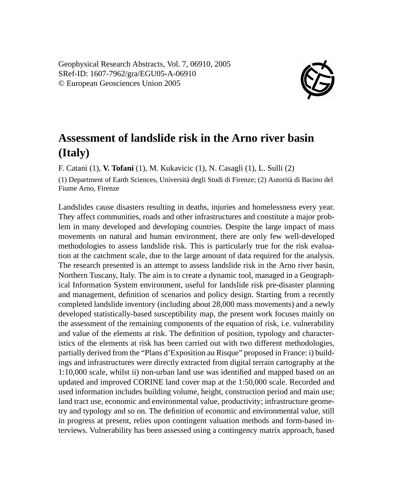Geophysical Research Abstracts, Vol. 7, 06910, 2005 SRef-ID: 1607-7962/gra/EGU05-A-06910 © European Geosciences Union 2005



## **Assessment of landslide risk in the Arno river basin (Italy)**

F. Catani (1), **V. Tofani** (1), M. Kukavicic (1), N. Casagli (1), L. Sulli (2)

(1) Department of Earth Sciences, Università degli Studi di Firenze; (2) Autorità di Bacino del Fiume Arno, Firenze

Landslides cause disasters resulting in deaths, injuries and homelessness every year. They affect communities, roads and other infrastructures and constitute a major problem in many developed and developing countries. Despite the large impact of mass movements on natural and human environment, there are only few well-developed methodologies to assess landslide risk. This is particularly true for the risk evaluation at the catchment scale, due to the large amount of data required for the analysis. The research presented is an attempt to assess landslide risk in the Arno river basin, Northern Tuscany, Italy. The aim is to create a dynamic tool, managed in a Geographical Information System environment, useful for landslide risk pre-disaster planning and management, definition of scenarios and policy design. Starting from a recently completed landslide inventory (including about 28,000 mass movements) and a newly developed statistically-based susceptibility map, the present work focuses mainly on the assessment of the remaining components of the equation of risk, i.e. vulnerability and value of the elements at risk. The definition of position, typology and characteristics of the elements at risk has been carried out with two different methodologies, partially derived from the "Plans d'Exposition au Risque" proposed in France: i) buildings and infrastructures were directly extracted from digital terrain cartography at the 1:10,000 scale, whilst ii) non-urban land use was identified and mapped based on an updated and improved CORINE land cover map at the 1:50,000 scale. Recorded and used information includes building volume, height, construction period and main use; land tract use, economic and environmental value, productivity; infrastructure geometry and typology and so on. The definition of economic and environmental value, still in progress at present, relies upon contingent valuation methods and form-based interviews. Vulnerability has been assessed using a contingency matrix approach, based